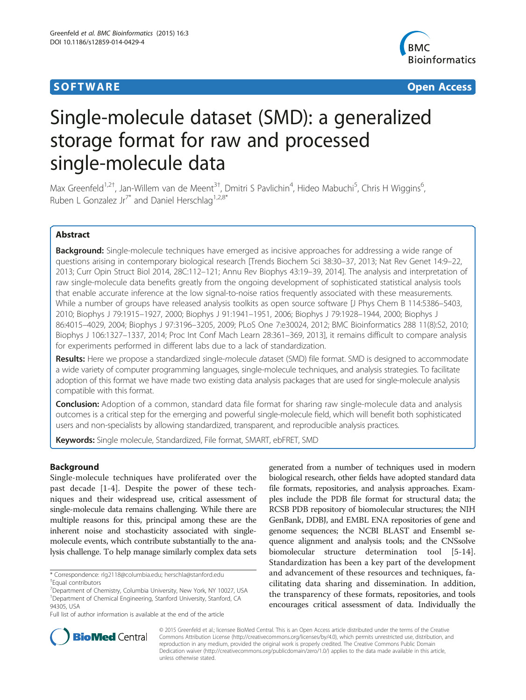# **SOFTWARE SOFTWARE** *CONSERVERSE EXECUTIVE EXECUTIVE EXECUTIVE EXECUTIVE EXECUTIVE EXECUTIVE EXECUTIVE EXECUTIVE EXECUTIVE EXECUTIVE EXECUTIVE EXECUTIVE EXECUTIVE EXECUTIVE EXECUTIVE EXECUTIVE EXECUTIVE EXECUTIVE EXECUT*



# Single-molecule dataset (SMD): a generalized storage format for raw and processed single-molecule data

Max Greenfeld<sup>1,2†</sup>, Jan-Willem van de Meent<sup>3†</sup>, Dmitri S Pavlichin<sup>4</sup>, Hideo Mabuchi<sup>5</sup>, Chris H Wiggins<sup>6</sup> , Ruben L Gonzalez Jr<sup>7\*</sup> and Daniel Herschlag<sup>1,2,8\*</sup>

# Abstract

**Background:** Single-molecule techniques have emerged as incisive approaches for addressing a wide range of questions arising in contemporary biological research [Trends Biochem Sci 38:30–37, 2013; Nat Rev Genet 14:9–22, 2013; Curr Opin Struct Biol 2014, 28C:112–121; Annu Rev Biophys 43:19–39, 2014]. The analysis and interpretation of raw single-molecule data benefits greatly from the ongoing development of sophisticated statistical analysis tools that enable accurate inference at the low signal-to-noise ratios frequently associated with these measurements. While a number of groups have released analysis toolkits as open source software [J Phys Chem B 114:5386–5403, 2010; Biophys J 79:1915–1927, 2000; Biophys J 91:1941–1951, 2006; Biophys J 79:1928–1944, 2000; Biophys J 86:4015–4029, 2004; Biophys J 97:3196–3205, 2009; PLoS One 7:e30024, 2012; BMC Bioinformatics 288 11(8):S2, 2010; Biophys J 106:1327–1337, 2014; Proc Int Conf Mach Learn 28:361–369, 2013], it remains difficult to compare analysis for experiments performed in different labs due to a lack of standardization.

Results: Here we propose a standardized single-molecule dataset (SMD) file format. SMD is designed to accommodate a wide variety of computer programming languages, single-molecule techniques, and analysis strategies. To facilitate adoption of this format we have made two existing data analysis packages that are used for single-molecule analysis compatible with this format.

**Conclusion:** Adoption of a common, standard data file format for sharing raw single-molecule data and analysis outcomes is a critical step for the emerging and powerful single-molecule field, which will benefit both sophisticated users and non-specialists by allowing standardized, transparent, and reproducible analysis practices.

Keywords: Single molecule, Standardized, File format, SMART, ebFRET, SMD

# Background

Single-molecule techniques have proliferated over the past decade [[1-4](#page-3-0)]. Despite the power of these techniques and their widespread use, critical assessment of single-molecule data remains challenging. While there are multiple reasons for this, principal among these are the inherent noise and stochasticity associated with singlemolecule events, which contribute substantially to the analysis challenge. To help manage similarly complex data sets

generated from a number of techniques used in modern biological research, other fields have adopted standard data file formats, repositories, and analysis approaches. Examples include the PDB file format for structural data; the RCSB PDB repository of biomolecular structures; the NIH GenBank, DDBJ, and EMBL ENA repositories of gene and genome sequences; the NCBI BLAST and Ensembl sequence alignment and analysis tools; and the CNSsolve biomolecular structure determination tool [\[5-14](#page-3-0)]. Standardization has been a key part of the development and advancement of these resources and techniques, facilitating data sharing and dissemination. In addition, the transparency of these formats, repositories, and tools encourages critical assessment of data. Individually the



© 2015 Greenfeld et al.; licensee BioMed Central. This is an Open Access article distributed under the terms of the Creative Commons Attribution License [\(http://creativecommons.org/licenses/by/4.0\)](http://creativecommons.org/licenses/by/4.0), which permits unrestricted use, distribution, and reproduction in any medium, provided the original work is properly credited. The Creative Commons Public Domain Dedication waiver [\(http://creativecommons.org/publicdomain/zero/1.0/](http://creativecommons.org/publicdomain/zero/1.0/)) applies to the data made available in this article, unless otherwise stated.

<sup>\*</sup> Correspondence: [rlg2118@columbia.edu;](mailto:rlg2118@columbia.edu) [herschla@stanford.edu](mailto:herschla@stanford.edu) †

Equal contributors

<sup>&</sup>lt;sup>7</sup> Department of Chemistry, Columbia University, New York, NY 10027, USA <sup>1</sup>Department of Chemical Engineering, Stanford University, Stanford, CA 94305, USA

Full list of author information is available at the end of the article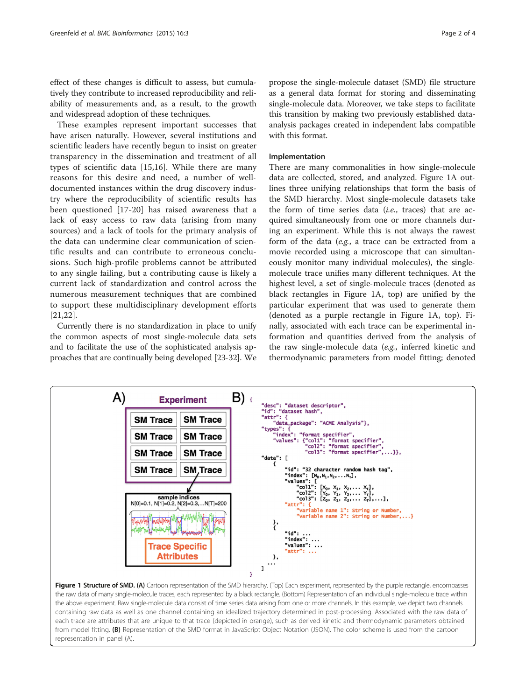<span id="page-1-0"></span>effect of these changes is difficult to assess, but cumulatively they contribute to increased reproducibility and reliability of measurements and, as a result, to the growth and widespread adoption of these techniques.

These examples represent important successes that have arisen naturally. However, several institutions and scientific leaders have recently begun to insist on greater transparency in the dissemination and treatment of all types of scientific data [\[15](#page-3-0),[16\]](#page-3-0). While there are many reasons for this desire and need, a number of welldocumented instances within the drug discovery industry where the reproducibility of scientific results has been questioned [[17-20](#page-3-0)] has raised awareness that a lack of easy access to raw data (arising from many sources) and a lack of tools for the primary analysis of the data can undermine clear communication of scientific results and can contribute to erroneous conclusions. Such high-profile problems cannot be attributed to any single failing, but a contributing cause is likely a current lack of standardization and control across the numerous measurement techniques that are combined to support these multidisciplinary development efforts [[21,22](#page-3-0)].

Currently there is no standardization in place to unify the common aspects of most single-molecule data sets and to facilitate the use of the sophisticated analysis approaches that are continually being developed [[23](#page-3-0)-[32](#page-3-0)]. We propose the single-molecule dataset (SMD) file structure as a general data format for storing and disseminating single-molecule data. Moreover, we take steps to facilitate this transition by making two previously established dataanalysis packages created in independent labs compatible with this format.

### Implementation

There are many commonalities in how single-molecule data are collected, stored, and analyzed. Figure 1A outlines three unifying relationships that form the basis of the SMD hierarchy. Most single-molecule datasets take the form of time series data  $(i.e.,$  traces) that are acquired simultaneously from one or more channels during an experiment. While this is not always the rawest form of the data (e.g., a trace can be extracted from a movie recorded using a microscope that can simultaneously monitor many individual molecules), the singlemolecule trace unifies many different techniques. At the highest level, a set of single-molecule traces (denoted as black rectangles in Figure 1A, top) are unified by the particular experiment that was used to generate them (denoted as a purple rectangle in Figure 1A, top). Finally, associated with each trace can be experimental information and quantities derived from the analysis of the raw single-molecule data (e.g., inferred kinetic and thermodynamic parameters from model fitting; denoted



the raw data of many single-molecule traces, each represented by a black rectangle. (Bottom) Representation of an individual single-molecule trace within the above experiment. Raw single-molecule data consist of time series data arising from one or more channels. In this example, we depict two channels containing raw data as well as one channel containing an idealized trajectory determined in post-processing. Associated with the raw data of each trace are attributes that are unique to that trace (depicted in orange), such as derived kinetic and thermodynamic parameters obtained from model fitting. (B) Representation of the SMD format in JavaScript Object Notation (JSON). The color scheme is used from the cartoon representation in panel (A).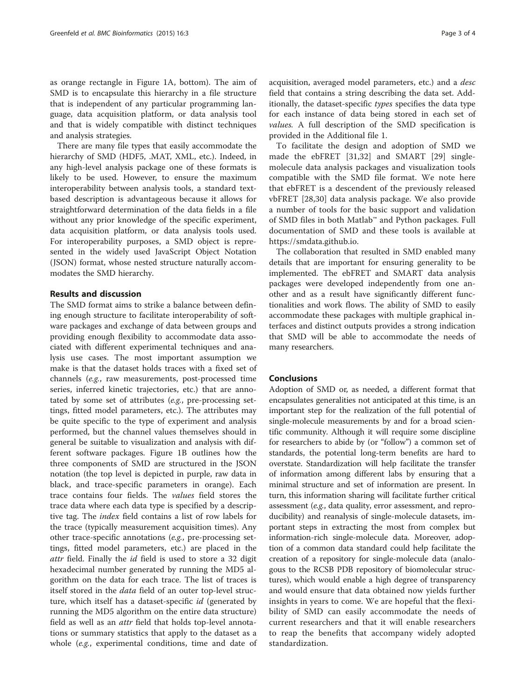as orange rectangle in Figure [1A](#page-1-0), bottom). The aim of SMD is to encapsulate this hierarchy in a file structure that is independent of any particular programming language, data acquisition platform, or data analysis tool and that is widely compatible with distinct techniques and analysis strategies.

There are many file types that easily accommodate the hierarchy of SMD (HDF5, .MAT, XML, etc.). Indeed, in any high-level analysis package one of these formats is likely to be used. However, to ensure the maximum interoperability between analysis tools, a standard textbased description is advantageous because it allows for straightforward determination of the data fields in a file without any prior knowledge of the specific experiment, data acquisition platform, or data analysis tools used. For interoperability purposes, a SMD object is represented in the widely used JavaScript Object Notation (JSON) format, whose nested structure naturally accommodates the SMD hierarchy.

# Results and discussion

The SMD format aims to strike a balance between defining enough structure to facilitate interoperability of software packages and exchange of data between groups and providing enough flexibility to accommodate data associated with different experimental techniques and analysis use cases. The most important assumption we make is that the dataset holds traces with a fixed set of channels (e.g., raw measurements, post-processed time series, inferred kinetic trajectories, etc.) that are annotated by some set of attributes (e.g., pre-processing settings, fitted model parameters, etc.). The attributes may be quite specific to the type of experiment and analysis performed, but the channel values themselves should in general be suitable to visualization and analysis with different software packages. Figure [1B](#page-1-0) outlines how the three components of SMD are structured in the JSON notation (the top level is depicted in purple, raw data in black, and trace-specific parameters in orange). Each trace contains four fields. The values field stores the trace data where each data type is specified by a descriptive tag. The index field contains a list of row labels for the trace (typically measurement acquisition times). Any other trace-specific annotations (e.g., pre-processing settings, fitted model parameters, etc.) are placed in the *attr* field. Finally the *id* field is used to store a 32 digit hexadecimal number generated by running the MD5 algorithm on the data for each trace. The list of traces is itself stored in the *data* field of an outer top-level structure, which itself has a dataset-specific *id* (generated by running the MD5 algorithm on the entire data structure) field as well as an *attr* field that holds top-level annotations or summary statistics that apply to the dataset as a whole (e.g., experimental conditions, time and date of

acquisition, averaged model parameters, etc.) and a *desc* field that contains a string describing the data set. Additionally, the dataset-specific types specifies the data type for each instance of data being stored in each set of values. A full description of the SMD specification is provided in the Additional file [1.](#page-3-0)

To facilitate the design and adoption of SMD we made the ebFRET [\[31,32](#page-3-0)] and SMART [[29\]](#page-3-0) singlemolecule data analysis packages and visualization tools compatible with the SMD file format. We note here that ebFRET is a descendent of the previously released vbFRET [[28,30](#page-3-0)] data analysis package. We also provide a number of tools for the basic support and validation of SMD files in both Matlab™ and Python packages. Full documentation of SMD and these tools is available at <https://smdata.github.io>.

The collaboration that resulted in SMD enabled many details that are important for ensuring generality to be implemented. The ebFRET and SMART data analysis packages were developed independently from one another and as a result have significantly different functionalities and work flows. The ability of SMD to easily accommodate these packages with multiple graphical interfaces and distinct outputs provides a strong indication that SMD will be able to accommodate the needs of many researchers.

# Conclusions

Adoption of SMD or, as needed, a different format that encapsulates generalities not anticipated at this time, is an important step for the realization of the full potential of single-molecule measurements by and for a broad scientific community. Although it will require some discipline for researchers to abide by (or "follow") a common set of standards, the potential long-term benefits are hard to overstate. Standardization will help facilitate the transfer of information among different labs by ensuring that a minimal structure and set of information are present. In turn, this information sharing will facilitate further critical assessment (e.g., data quality, error assessment, and reproducibility) and reanalysis of single-molecule datasets, important steps in extracting the most from complex but information-rich single-molecule data. Moreover, adoption of a common data standard could help facilitate the creation of a repository for single-molecule data (analogous to the RCSB PDB repository of biomolecular structures), which would enable a high degree of transparency and would ensure that data obtained now yields further insights in years to come. We are hopeful that the flexibility of SMD can easily accommodate the needs of current researchers and that it will enable researchers to reap the benefits that accompany widely adopted standardization.